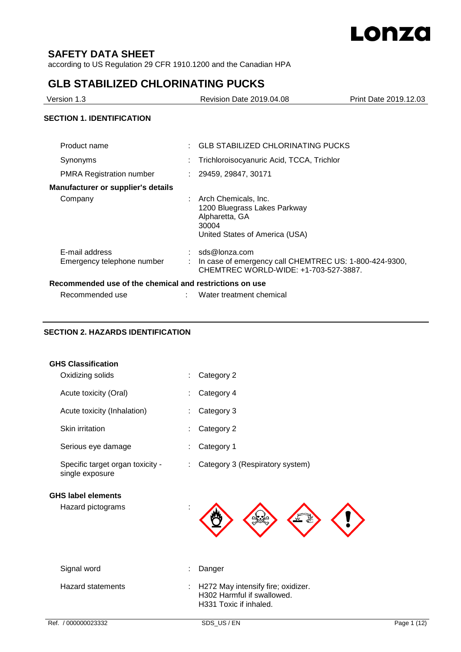

# **SAFETY DATA SHEET**

according to US Regulation 29 CFR 1910.1200 and the Canadian HPA

# **GLB STABILIZED CHLORINATING PUCKS**

| Version 1.3                      | <b>Revision Date 2019.04.08</b>           | Print Date 2019.12.03 |
|----------------------------------|-------------------------------------------|-----------------------|
| <b>SECTION 1. IDENTIFICATION</b> |                                           |                       |
| Product name                     | : GLB STABILIZED CHLORINATING PUCKS       |                       |
| Synonyms                         | Trichloroisocyanuric Acid, TCCA, Trichlor |                       |
| <b>PMRA Registration number</b>  | 29459, 29847, 30171                       |                       |

## **Manufacturer or supplier's details**

|                                              | 1200 Bluegrass Lakes Parkway<br>Alpharetta, GA<br>30004<br>United States of America (USA)                        |
|----------------------------------------------|------------------------------------------------------------------------------------------------------------------|
| E-mail address<br>Emergency telephone number | sds@lonza.com<br>In case of emergency call CHEMTREC US: 1-800-424-9300,<br>CHEMTREC WORLD-WIDE: +1-703-527-3887. |

### **Recommended use of the chemical and restrictions on use**

Company : Arch Chemicals, Inc.

| Recommended use |  |
|-----------------|--|
|-----------------|--|

: Water treatment chemical

# **SECTION 2. HAZARDS IDENTIFICATION**

|  | <b>GHS Classification</b> |
|--|---------------------------|
|--|---------------------------|

| Hazard pictograms                                   |                                 |
|-----------------------------------------------------|---------------------------------|
| <b>GHS label elements</b>                           |                                 |
| Specific target organ toxicity -<br>single exposure | Category 3 (Respiratory system) |
| Serious eye damage                                  | Category 1                      |
| <b>Skin irritation</b>                              | Category 2                      |
| Acute toxicity (Inhalation)                         | Category 3                      |
| Acute toxicity (Oral)                               | Category 4                      |
| Oxidizing solids                                    | Category 2                      |

| Signal word       | : Danger                                                                                     |
|-------------------|----------------------------------------------------------------------------------------------|
| Hazard statements | : H272 May intensify fire; oxidizer.<br>H302 Harmful if swallowed.<br>H331 Toxic if inhaled. |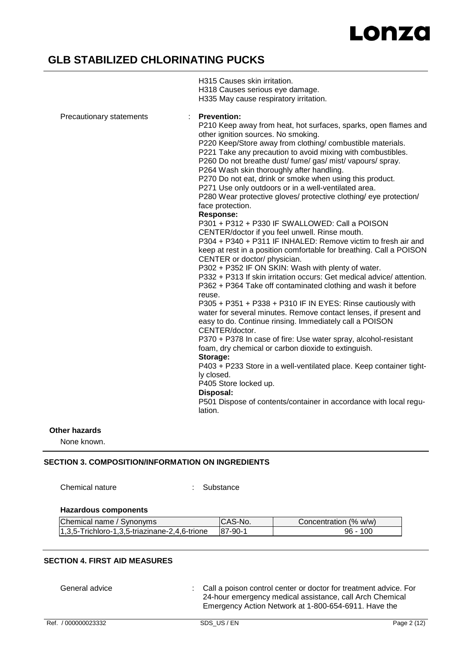# **GLB STABILIZED CHLORINATING PUCKS**

|                          | H318 Causes serious eye damage.<br>H335 May cause respiratory irritation.                                                                                                                                                                                                                                                                                                                                                                                                                                                                                                                                                                                                                                                                                                                                                                                                                                                                                                                                                                                                                                                                                                                                                                                                                                                                                                                                                                                                                                                                                                                                                                        |
|--------------------------|--------------------------------------------------------------------------------------------------------------------------------------------------------------------------------------------------------------------------------------------------------------------------------------------------------------------------------------------------------------------------------------------------------------------------------------------------------------------------------------------------------------------------------------------------------------------------------------------------------------------------------------------------------------------------------------------------------------------------------------------------------------------------------------------------------------------------------------------------------------------------------------------------------------------------------------------------------------------------------------------------------------------------------------------------------------------------------------------------------------------------------------------------------------------------------------------------------------------------------------------------------------------------------------------------------------------------------------------------------------------------------------------------------------------------------------------------------------------------------------------------------------------------------------------------------------------------------------------------------------------------------------------------|
|                          |                                                                                                                                                                                                                                                                                                                                                                                                                                                                                                                                                                                                                                                                                                                                                                                                                                                                                                                                                                                                                                                                                                                                                                                                                                                                                                                                                                                                                                                                                                                                                                                                                                                  |
| Precautionary statements | <b>Prevention:</b><br>P210 Keep away from heat, hot surfaces, sparks, open flames and<br>other ignition sources. No smoking.<br>P220 Keep/Store away from clothing/ combustible materials.<br>P221 Take any precaution to avoid mixing with combustibles.<br>P260 Do not breathe dust/ fume/ gas/ mist/ vapours/ spray.<br>P264 Wash skin thoroughly after handling.<br>P270 Do not eat, drink or smoke when using this product.<br>P271 Use only outdoors or in a well-ventilated area.<br>P280 Wear protective gloves/ protective clothing/ eye protection/<br>face protection.<br><b>Response:</b><br>P301 + P312 + P330 IF SWALLOWED: Call a POISON<br>CENTER/doctor if you feel unwell. Rinse mouth.<br>P304 + P340 + P311 IF INHALED: Remove victim to fresh air and<br>keep at rest in a position comfortable for breathing. Call a POISON<br>CENTER or doctor/ physician.<br>P302 + P352 IF ON SKIN: Wash with plenty of water.<br>P332 + P313 If skin irritation occurs: Get medical advice/attention.<br>P362 + P364 Take off contaminated clothing and wash it before<br>reuse.<br>P305 + P351 + P338 + P310 IF IN EYES: Rinse cautiously with<br>water for several minutes. Remove contact lenses, if present and<br>easy to do. Continue rinsing. Immediately call a POISON<br>CENTER/doctor.<br>P370 + P378 In case of fire: Use water spray, alcohol-resistant<br>foam, dry chemical or carbon dioxide to extinguish.<br>Storage:<br>P403 + P233 Store in a well-ventilated place. Keep container tight-<br>ly closed.<br>P405 Store locked up.<br>Disposal:<br>P501 Dispose of contents/container in accordance with local regu- |
|                          | lation.                                                                                                                                                                                                                                                                                                                                                                                                                                                                                                                                                                                                                                                                                                                                                                                                                                                                                                                                                                                                                                                                                                                                                                                                                                                                                                                                                                                                                                                                                                                                                                                                                                          |

H315 Causes skin irritation.

### **Other hazards**

None known.

## **SECTION 3. COMPOSITION/INFORMATION ON INGREDIENTS**

Chemical nature : Substance

## **Hazardous components**

| Chemical name / Synonyms                      | CAS-No. | Concentration (% w/w) |
|-----------------------------------------------|---------|-----------------------|
| 1,3,5-Trichloro-1,3,5-triazinane-2,4,6-trione | 87-90-1 | 96 - 100              |

## **SECTION 4. FIRST AID MEASURES**

General advice : Call a poison control center or doctor for treatment advice. For 24-hour emergency medical assistance, call Arch Chemical Emergency Action Network at 1-800-654-6911. Have the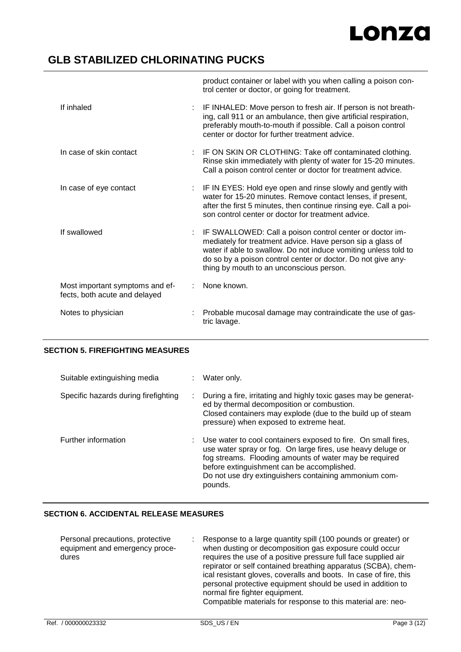

# **GLB STABILIZED CHLORINATING PUCKS**

|                                                                  | product container or label with you when calling a poison con-<br>trol center or doctor, or going for treatment.                                                                                                                                                                                      |
|------------------------------------------------------------------|-------------------------------------------------------------------------------------------------------------------------------------------------------------------------------------------------------------------------------------------------------------------------------------------------------|
| If inhaled<br>÷.                                                 | IF INHALED: Move person to fresh air. If person is not breath-<br>ing, call 911 or an ambulance, then give artificial respiration,<br>preferably mouth-to-mouth if possible. Call a poison control<br>center or doctor for further treatment advice.                                                  |
| In case of skin contact                                          | IF ON SKIN OR CLOTHING: Take off contaminated clothing.<br>Rinse skin immediately with plenty of water for 15-20 minutes.<br>Call a poison control center or doctor for treatment advice.                                                                                                             |
| In case of eye contact                                           | : IF IN EYES: Hold eye open and rinse slowly and gently with<br>water for 15-20 minutes. Remove contact lenses, if present,<br>after the first 5 minutes, then continue rinsing eye. Call a poi-<br>son control center or doctor for treatment advice.                                                |
| If swallowed                                                     | IF SWALLOWED: Call a poison control center or doctor im-<br>mediately for treatment advice. Have person sip a glass of<br>water if able to swallow. Do not induce vomiting unless told to<br>do so by a poison control center or doctor. Do not give any-<br>thing by mouth to an unconscious person. |
| Most important symptoms and ef-<br>fects, both acute and delayed | None known.                                                                                                                                                                                                                                                                                           |
| Notes to physician                                               | Probable mucosal damage may contraindicate the use of gas-<br>tric lavage.                                                                                                                                                                                                                            |

### **SECTION 5. FIREFIGHTING MEASURES**

| Suitable extinguishing media         |   | Water only.                                                                                                                                                                                                                                                                                              |
|--------------------------------------|---|----------------------------------------------------------------------------------------------------------------------------------------------------------------------------------------------------------------------------------------------------------------------------------------------------------|
| Specific hazards during firefighting | ÷ | During a fire, irritating and highly toxic gases may be generat-<br>ed by thermal decomposition or combustion.<br>Closed containers may explode (due to the build up of steam<br>pressure) when exposed to extreme heat.                                                                                 |
| Further information                  |   | Use water to cool containers exposed to fire. On small fires,<br>use water spray or fog. On large fires, use heavy deluge or<br>fog streams. Flooding amounts of water may be required<br>before extinguishment can be accomplished.<br>Do not use dry extinguishers containing ammonium com-<br>pounds. |

### **SECTION 6. ACCIDENTAL RELEASE MEASURES**

| Personal precautions, protective<br>equipment and emergency proce-<br>dures | Response to a large quantity spill (100 pounds or greater) or<br>when dusting or decomposition gas exposure could occur<br>requires the use of a positive pressure full face supplied air<br>repirator or self contained breathing apparatus (SCBA), chem-<br>ical resistant gloves, coveralls and boots. In case of fire, this<br>personal protective equipment should be used in addition to<br>normal fire fighter equipment.<br>Compatible materials for response to this material are: neo- |
|-----------------------------------------------------------------------------|--------------------------------------------------------------------------------------------------------------------------------------------------------------------------------------------------------------------------------------------------------------------------------------------------------------------------------------------------------------------------------------------------------------------------------------------------------------------------------------------------|
|-----------------------------------------------------------------------------|--------------------------------------------------------------------------------------------------------------------------------------------------------------------------------------------------------------------------------------------------------------------------------------------------------------------------------------------------------------------------------------------------------------------------------------------------------------------------------------------------|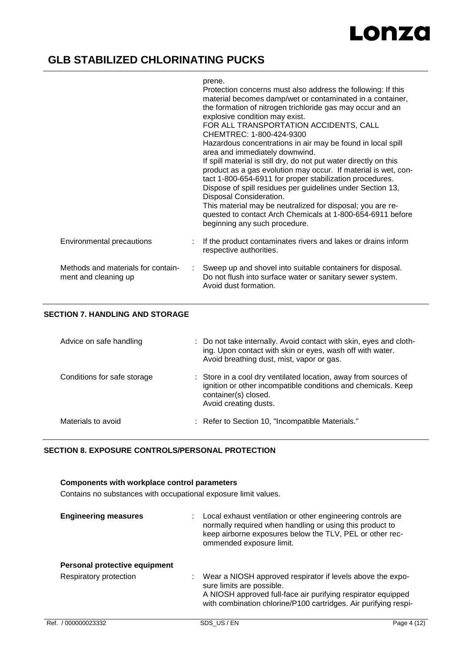# **GLB STABILIZED CHLORINATING PUCKS**

### prene.

|                                                            |    | Protection concerns must also address the following: If this<br>material becomes damp/wet or contaminated in a container,<br>the formation of nitrogen trichloride gas may occur and an<br>explosive condition may exist.<br>FOR ALL TRANSPORTATION ACCIDENTS, CALL<br>CHEMTREC: 1-800-424-9300<br>Hazardous concentrations in air may be found in local spill<br>area and immediately downwind.<br>If spill material is still dry, do not put water directly on this<br>product as a gas evolution may occur. If material is wet, con-<br>tact 1-800-654-6911 for proper stabilization procedures.<br>Dispose of spill residues per guidelines under Section 13,<br>Disposal Consideration.<br>This material may be neutralized for disposal; you are re-<br>quested to contact Arch Chemicals at 1-800-654-6911 before<br>beginning any such procedure. |
|------------------------------------------------------------|----|-----------------------------------------------------------------------------------------------------------------------------------------------------------------------------------------------------------------------------------------------------------------------------------------------------------------------------------------------------------------------------------------------------------------------------------------------------------------------------------------------------------------------------------------------------------------------------------------------------------------------------------------------------------------------------------------------------------------------------------------------------------------------------------------------------------------------------------------------------------|
| Environmental precautions                                  |    | If the product contaminates rivers and lakes or drains inform<br>respective authorities.                                                                                                                                                                                                                                                                                                                                                                                                                                                                                                                                                                                                                                                                                                                                                                  |
| Methods and materials for contain-<br>ment and cleaning up | ÷. | Sweep up and shovel into suitable containers for disposal.<br>Do not flush into surface water or sanitary sewer system.<br>Avoid dust formation.                                                                                                                                                                                                                                                                                                                                                                                                                                                                                                                                                                                                                                                                                                          |
|                                                            |    |                                                                                                                                                                                                                                                                                                                                                                                                                                                                                                                                                                                                                                                                                                                                                                                                                                                           |

## **SECTION 7. HANDLING AND STORAGE**

| Advice on safe handling     | : Do not take internally. Avoid contact with skin, eyes and cloth-<br>ing. Upon contact with skin or eyes, wash off with water.<br>Avoid breathing dust, mist, vapor or gas.      |
|-----------------------------|-----------------------------------------------------------------------------------------------------------------------------------------------------------------------------------|
| Conditions for safe storage | : Store in a cool dry ventilated location, away from sources of<br>ignition or other incompatible conditions and chemicals. Keep<br>container(s) closed.<br>Avoid creating dusts. |
| Materials to avoid          | : Refer to Section 10, "Incompatible Materials."                                                                                                                                  |

### **SECTION 8. EXPOSURE CONTROLS/PERSONAL PROTECTION**

# **Components with workplace control parameters**

Contains no substances with occupational exposure limit values.

| <b>Engineering measures</b>                             | Local exhaust ventilation or other engineering controls are<br>normally required when handling or using this product to<br>keep airborne exposures below the TLV, PEL or other rec-<br>ommended exposure limit.            |
|---------------------------------------------------------|----------------------------------------------------------------------------------------------------------------------------------------------------------------------------------------------------------------------------|
| Personal protective equipment<br>Respiratory protection | Wear a NIOSH approved respirator if levels above the expo-<br>sure limits are possible.<br>A NIOSH approved full-face air purifying respirator equipped<br>with combination chlorine/P100 cartridges. Air purifying respi- |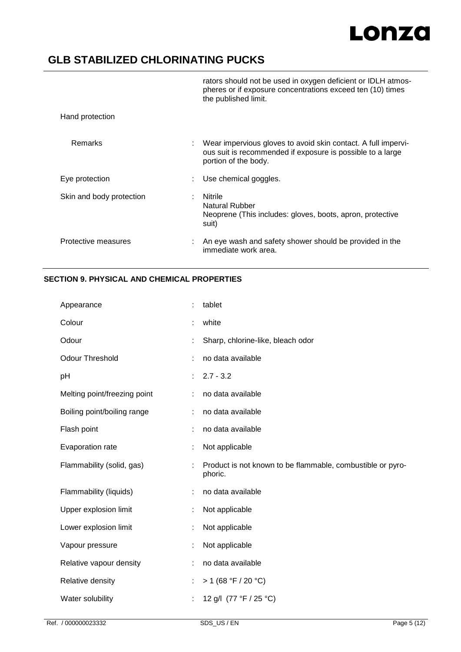# **GLB STABILIZED CHLORINATING PUCKS**

|                          | rators should not be used in oxygen deficient or IDLH atmos-<br>pheres or if exposure concentrations exceed ten (10) times<br>the published limit.  |
|--------------------------|-----------------------------------------------------------------------------------------------------------------------------------------------------|
| Hand protection          |                                                                                                                                                     |
| Remarks                  | Wear impervious gloves to avoid skin contact. A full impervi-<br>ous suit is recommended if exposure is possible to a large<br>portion of the body. |
| Eye protection           | Use chemical goggles.                                                                                                                               |
| Skin and body protection | Nitrile<br>Natural Rubber<br>Neoprene (This includes: gloves, boots, apron, protective<br>suit)                                                     |
| Protective measures      | An eye wash and safety shower should be provided in the<br>immediate work area.                                                                     |

## **SECTION 9. PHYSICAL AND CHEMICAL PROPERTIES**

| Appearance                   |   | tablet                                                                |
|------------------------------|---|-----------------------------------------------------------------------|
| Colour                       |   | white                                                                 |
| Odour                        |   | Sharp, chlorine-like, bleach odor                                     |
| <b>Odour Threshold</b>       | ÷ | no data available                                                     |
| pH                           |   | $2.7 - 3.2$                                                           |
| Melting point/freezing point | t | no data available                                                     |
| Boiling point/boiling range  | ÷ | no data available                                                     |
| Flash point                  |   | no data available                                                     |
| Evaporation rate             | t | Not applicable                                                        |
| Flammability (solid, gas)    | t | Product is not known to be flammable, combustible or pyro-<br>phoric. |
| Flammability (liquids)       |   | no data available                                                     |
| Upper explosion limit        | t | Not applicable                                                        |
| Lower explosion limit        | t | Not applicable                                                        |
| Vapour pressure              |   | Not applicable                                                        |
| Relative vapour density      | t | no data available                                                     |
| Relative density             | t | > 1 (68 °F / 20 °C)                                                   |
| Water solubility             |   | 12 g/l (77 °F / 25 °C)                                                |
|                              |   |                                                                       |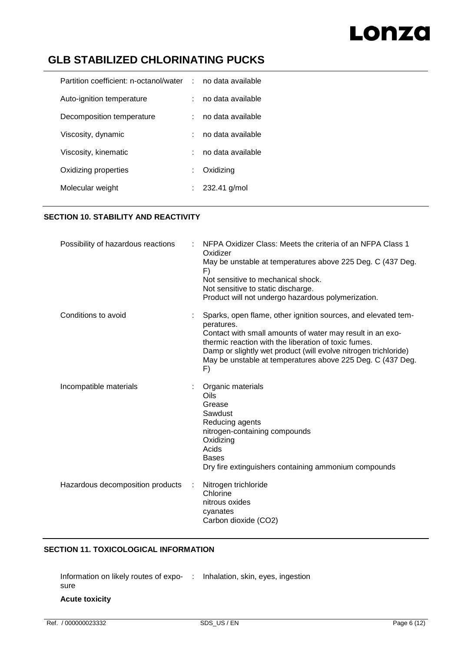# **GLB STABILIZED CHLORINATING PUCKS**

| Partition coefficient: n-octanol/water : no data available |                   |
|------------------------------------------------------------|-------------------|
| Auto-ignition temperature                                  | no data available |
| Decomposition temperature                                  | no data available |
| Viscosity, dynamic                                         | no data available |
| Viscosity, kinematic                                       | no data available |
| Oxidizing properties                                       | Oxidizing         |
| Molecular weight                                           | $: 232.41$ g/mol  |

# **SECTION 10. STABILITY AND REACTIVITY**

| Possibility of hazardous reactions | NFPA Oxidizer Class: Meets the criteria of an NFPA Class 1<br>Oxidizer                                                                                                               |
|------------------------------------|--------------------------------------------------------------------------------------------------------------------------------------------------------------------------------------|
|                                    | May be unstable at temperatures above 225 Deg. C (437 Deg.<br>F)                                                                                                                     |
|                                    | Not sensitive to mechanical shock.                                                                                                                                                   |
|                                    | Not sensitive to static discharge.                                                                                                                                                   |
|                                    | Product will not undergo hazardous polymerization.                                                                                                                                   |
| Conditions to avoid                | Sparks, open flame, other ignition sources, and elevated tem-<br>peratures.                                                                                                          |
|                                    | Contact with small amounts of water may result in an exo-<br>thermic reaction with the liberation of toxic fumes.<br>Damp or slightly wet product (will evolve nitrogen trichloride) |
|                                    | May be unstable at temperatures above 225 Deg. C (437 Deg.<br>F)                                                                                                                     |
| Incompatible materials             | Organic materials                                                                                                                                                                    |
|                                    | Oils<br>Grease                                                                                                                                                                       |
|                                    | Sawdust                                                                                                                                                                              |
|                                    | Reducing agents                                                                                                                                                                      |
|                                    | nitrogen-containing compounds                                                                                                                                                        |
|                                    | Oxidizing                                                                                                                                                                            |
|                                    | Acids                                                                                                                                                                                |
|                                    | <b>Bases</b>                                                                                                                                                                         |
|                                    | Dry fire extinguishers containing ammonium compounds                                                                                                                                 |
| Hazardous decomposition products   | Nitrogen trichloride<br>Chlorine                                                                                                                                                     |
|                                    | nitrous oxides<br>cyanates                                                                                                                                                           |
|                                    | Carbon dioxide (CO2)                                                                                                                                                                 |
|                                    |                                                                                                                                                                                      |

## **SECTION 11. TOXICOLOGICAL INFORMATION**

Information on likely routes of expo-: Inhalation, skin, eyes, ingestion sure **Acute toxicity**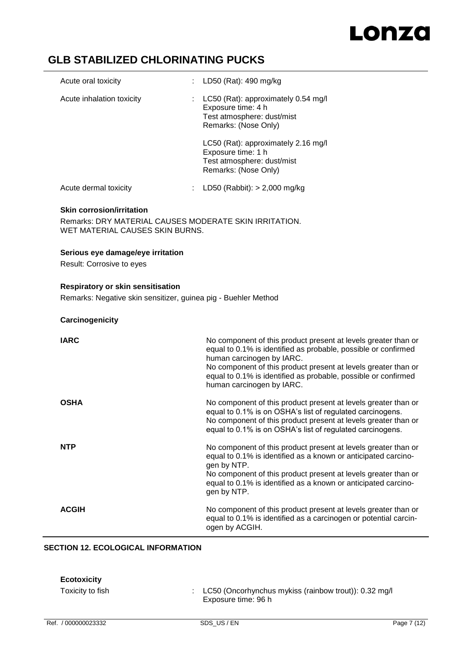# **GLB STABILIZED CHLORINATING PUCKS**

| Acute oral toxicity       | LD50 (Rat): 490 mg/kg                                                                                                        |
|---------------------------|------------------------------------------------------------------------------------------------------------------------------|
| Acute inhalation toxicity | $\therefore$ LC50 (Rat): approximately 0.54 mg/l<br>Exposure time: 4 h<br>Test atmosphere: dust/mist<br>Remarks: (Nose Only) |
|                           | LC50 (Rat): approximately 2.16 mg/l<br>Exposure time: 1 h<br>Test atmosphere: dust/mist<br>Remarks: (Nose Only)              |
| Acute dermal toxicity     | LD50 (Rabbit): $>$ 2,000 mg/kg                                                                                               |

### **Skin corrosion/irritation**

Remarks: DRY MATERIAL CAUSES MODERATE SKIN IRRITATION. WET MATERIAL CAUSES SKIN BURNS.

### **Serious eye damage/eye irritation**

Result: Corrosive to eyes

## **Respiratory or skin sensitisation**

Remarks: Negative skin sensitizer, guinea pig - Buehler Method

### **Carcinogenicity**

| <b>IARC</b>  | No component of this product present at levels greater than or<br>equal to 0.1% is identified as probable, possible or confirmed<br>human carcinogen by IARC.<br>No component of this product present at levels greater than or<br>equal to 0.1% is identified as probable, possible or confirmed<br>human carcinogen by IARC. |
|--------------|--------------------------------------------------------------------------------------------------------------------------------------------------------------------------------------------------------------------------------------------------------------------------------------------------------------------------------|
| <b>OSHA</b>  | No component of this product present at levels greater than or<br>equal to 0.1% is on OSHA's list of regulated carcinogens.<br>No component of this product present at levels greater than or<br>equal to 0.1% is on OSHA's list of regulated carcinogens.                                                                     |
| <b>NTP</b>   | No component of this product present at levels greater than or<br>equal to 0.1% is identified as a known or anticipated carcino-<br>gen by NTP.<br>No component of this product present at levels greater than or<br>equal to 0.1% is identified as a known or anticipated carcino-<br>gen by NTP.                             |
| <b>ACGIH</b> | No component of this product present at levels greater than or<br>equal to 0.1% is identified as a carcinogen or potential carcin-<br>ogen by ACGIH.                                                                                                                                                                           |

## **SECTION 12. ECOLOGICAL INFORMATION**

| <b>Ecotoxicity</b><br>Toxicity to fish | LC50 (Oncorhynchus mykiss (rainbow trout)): 0.32 mg/l<br>Exposure time: 96 h |             |
|----------------------------------------|------------------------------------------------------------------------------|-------------|
| Ref. / 000000023332                    | SDS US/EN                                                                    | Page 7 (12) |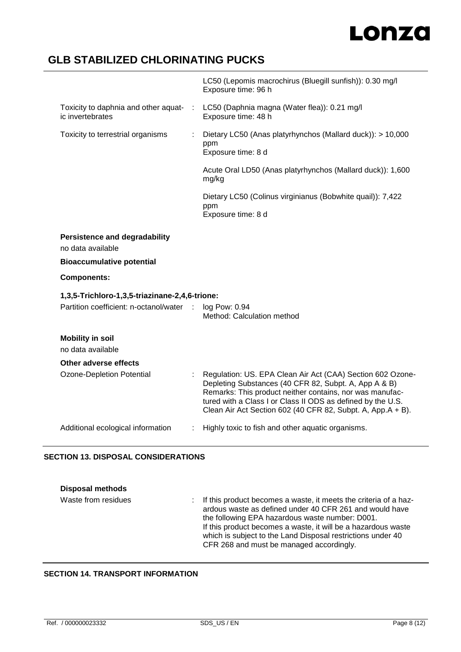# **GLB STABILIZED CHLORINATING PUCKS**

|                                  |                                                                                  | LC50 (Lepomis macrochirus (Bluegill sunfish)): 0.30 mg/l<br>Exposure time: 96 h                                                                                                                                                                                                                               |
|----------------------------------|----------------------------------------------------------------------------------|---------------------------------------------------------------------------------------------------------------------------------------------------------------------------------------------------------------------------------------------------------------------------------------------------------------|
|                                  | Toxicity to daphnia and other aquat-<br>$\ddot{\phantom{a}}$<br>ic invertebrates | LC50 (Daphnia magna (Water flea)): 0.21 mg/l<br>Exposure time: 48 h                                                                                                                                                                                                                                           |
|                                  | Toxicity to terrestrial organisms                                                | Dietary LC50 (Anas platyrhynchos (Mallard duck)): > 10,000<br>ppm<br>Exposure time: 8 d                                                                                                                                                                                                                       |
|                                  |                                                                                  | Acute Oral LD50 (Anas platyrhynchos (Mallard duck)): 1,600<br>mg/kg                                                                                                                                                                                                                                           |
|                                  |                                                                                  | Dietary LC50 (Colinus virginianus (Bobwhite quail)): 7,422<br>ppm<br>Exposure time: 8 d                                                                                                                                                                                                                       |
|                                  | <b>Persistence and degradability</b><br>no data available                        |                                                                                                                                                                                                                                                                                                               |
| <b>Bioaccumulative potential</b> |                                                                                  |                                                                                                                                                                                                                                                                                                               |
|                                  | <b>Components:</b>                                                               |                                                                                                                                                                                                                                                                                                               |
|                                  | 1,3,5-Trichloro-1,3,5-triazinane-2,4,6-trione:                                   |                                                                                                                                                                                                                                                                                                               |
|                                  | Partition coefficient: n-octanol/water :                                         | log Pow: 0.94<br>Method: Calculation method                                                                                                                                                                                                                                                                   |
|                                  | <b>Mobility in soil</b><br>no data available                                     |                                                                                                                                                                                                                                                                                                               |
|                                  | <b>Other adverse effects</b>                                                     |                                                                                                                                                                                                                                                                                                               |
|                                  | <b>Ozone-Depletion Potential</b>                                                 | Regulation: US. EPA Clean Air Act (CAA) Section 602 Ozone-<br>Depleting Substances (40 CFR 82, Subpt. A, App A & B)<br>Remarks: This product neither contains, nor was manufac-<br>tured with a Class I or Class II ODS as defined by the U.S.<br>Clean Air Act Section 602 (40 CFR 82, Subpt. A, App.A + B). |
|                                  | Additional ecological information                                                | Highly toxic to fish and other aquatic organisms.                                                                                                                                                                                                                                                             |
|                                  |                                                                                  |                                                                                                                                                                                                                                                                                                               |

## **SECTION 13. DISPOSAL CONSIDERATIONS**

| <b>Disposal methods</b> |                                                                                                                                                                                                                                                                                                                                                              |
|-------------------------|--------------------------------------------------------------------------------------------------------------------------------------------------------------------------------------------------------------------------------------------------------------------------------------------------------------------------------------------------------------|
| Waste from residues     | : If this product becomes a waste, it meets the criteria of a haz-<br>ardous waste as defined under 40 CFR 261 and would have<br>the following EPA hazardous waste number: D001.<br>If this product becomes a waste, it will be a hazardous waste<br>which is subject to the Land Disposal restrictions under 40<br>CFR 268 and must be managed accordingly. |

# **SECTION 14. TRANSPORT INFORMATION**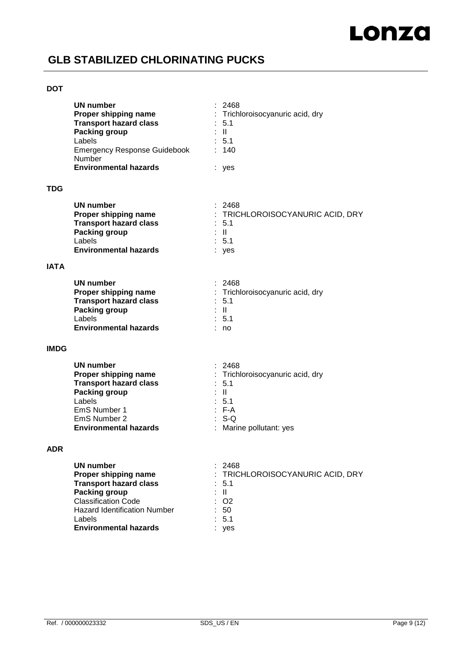# **GLB STABILIZED CHLORINATING PUCKS**

### **DOT**

|             | <b>UN number</b><br>Proper shipping name<br><b>Transport hazard class</b><br><b>Packing group</b><br>Labels<br><b>Emergency Response Guidebook</b><br><b>Number</b><br><b>Environmental hazards</b>              | 2468<br>: Trichloroisocyanuric acid, dry<br>$\therefore$ 5.1<br>$\mathbb{R}^+$<br>: 5.1<br>: 140<br>: yes                      |
|-------------|------------------------------------------------------------------------------------------------------------------------------------------------------------------------------------------------------------------|--------------------------------------------------------------------------------------------------------------------------------|
| TDG         |                                                                                                                                                                                                                  |                                                                                                                                |
|             | <b>UN number</b><br>Proper shipping name<br><b>Transport hazard class</b><br>Packing group<br>Labels<br><b>Environmental hazards</b>                                                                             | : 2468<br>: TRICHLOROISOCYANURIC ACID, DRY<br>$\therefore$ 5.1<br>÷ II.<br>$\therefore$ 5.1<br>: yes                           |
| <b>IATA</b> |                                                                                                                                                                                                                  |                                                                                                                                |
|             | <b>UN number</b><br>Proper shipping name<br><b>Transport hazard class</b><br><b>Packing group</b><br>Labels<br><b>Environmental hazards</b>                                                                      | : 2468<br>: Trichloroisocyanuric acid, dry<br>$\therefore$ 5.1<br>$\pm$ 11<br>: 5.1<br>: no                                    |
| <b>IMDG</b> |                                                                                                                                                                                                                  |                                                                                                                                |
|             | <b>UN number</b><br>Proper shipping name<br><b>Transport hazard class</b><br><b>Packing group</b><br>Labels<br>EmS Number 1<br>EmS Number 2<br><b>Environmental hazards</b>                                      | : 2468<br>: Trichloroisocyanuric acid, dry<br>: 5.1<br>: IL<br>: 5.1<br>$: F-A$<br>$\therefore$ S-Q<br>: Marine pollutant: yes |
| <b>ADR</b>  |                                                                                                                                                                                                                  |                                                                                                                                |
|             | <b>UN number</b><br>Proper shipping name<br><b>Transport hazard class</b><br><b>Packing group</b><br><b>Classification Code</b><br><b>Hazard Identification Number</b><br>Labels<br><b>Environmental hazards</b> | 2468<br>: TRICHLOROISOCYANURIC ACID, DRY<br>5.1<br>$\mathbf{H}$<br>O <sub>2</sub><br>50<br>5.1<br>yes                          |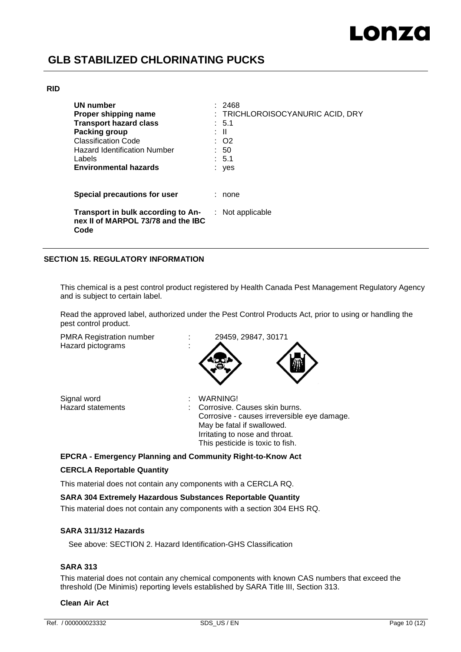# **GLB STABILIZED CHLORINATING PUCKS**

### **RID**

| UN number<br>Proper shipping name<br><b>Transport hazard class</b><br>Packing group<br><b>Classification Code</b><br><b>Hazard Identification Number</b><br>Labels<br><b>Environmental hazards</b> | 2468<br>: TRICHLOROISOCYANURIC ACID, DRY<br>$\therefore$ 5.1<br>: II<br>: O2<br>: 50<br>: 5.1<br>yes |
|----------------------------------------------------------------------------------------------------------------------------------------------------------------------------------------------------|------------------------------------------------------------------------------------------------------|
| Special precautions for user                                                                                                                                                                       | none                                                                                                 |
| Transport in bulk according to An-<br>nex II of MARPOL 73/78 and the IBC<br>Code                                                                                                                   | $:$ Not applicable                                                                                   |

## **SECTION 15. REGULATORY INFORMATION**

This chemical is a pest control product registered by Health Canada Pest Management Regulatory Agency and is subject to certain label.

Read the approved label, authorized under the Pest Control Products Act, prior to using or handling the pest control product.

PMRA Registration number : 29459, 29847, 30171 Hazard pictograms :



Signal word<br>
Hazard statements<br>
Hazard statements<br>
in Corrosive.

Corrosive. Causes skin burns. Corrosive - causes irreversible eye damage. May be fatal if swallowed. Irritating to nose and throat. This pesticide is toxic to fish.

### **EPCRA - Emergency Planning and Community Right-to-Know Act**

### **CERCLA Reportable Quantity**

This material does not contain any components with a CERCLA RQ.

### **SARA 304 Extremely Hazardous Substances Reportable Quantity**

This material does not contain any components with a section 304 EHS RQ.

### **SARA 311/312 Hazards**

See above: SECTION 2. Hazard Identification-GHS Classification

## **SARA 313**

This material does not contain any chemical components with known CAS numbers that exceed the threshold (De Minimis) reporting levels established by SARA Title III, Section 313.

### **Clean Air Act**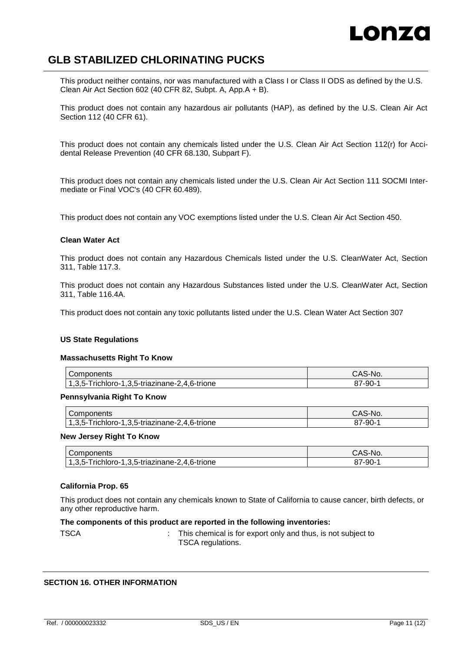# LONZO

# **GLB STABILIZED CHLORINATING PUCKS**

This product neither contains, nor was manufactured with a Class I or Class II ODS as defined by the U.S. Clean Air Act Section 602 (40 CFR 82, Subpt. A, App.A + B).

This product does not contain any hazardous air pollutants (HAP), as defined by the U.S. Clean Air Act Section 112 (40 CFR 61).

This product does not contain any chemicals listed under the U.S. Clean Air Act Section 112(r) for Accidental Release Prevention (40 CFR 68.130, Subpart F).

This product does not contain any chemicals listed under the U.S. Clean Air Act Section 111 SOCMI Intermediate or Final VOC's (40 CFR 60.489).

This product does not contain any VOC exemptions listed under the U.S. Clean Air Act Section 450.

### **Clean Water Act**

This product does not contain any Hazardous Chemicals listed under the U.S. CleanWater Act, Section 311, Table 117.3.

This product does not contain any Hazardous Substances listed under the U.S. CleanWater Act, Section 311, Table 116.4A.

This product does not contain any toxic pollutants listed under the U.S. Clean Water Act Section 307

### **US State Regulations**

#### **Massachusetts Right To Know**

| Components                                          | CAS-No. |
|-----------------------------------------------------|---------|
| $,3,5-$<br>-Trichloro-1,3,5-triazinane-2,4,6-trione | 87-90-  |

#### **Pennsylvania Right To Know**

| Components                                                                 | `S-No.<br>CAS |
|----------------------------------------------------------------------------|---------------|
| +.6-trione<br>1,3,5-triazinane-2,<br>Frichloro-1<br>$\overline{a}$<br>35-T | $87 - 90 - 4$ |

### **New Jersey Right To Know**

| Components                              | CAS-No. |
|-----------------------------------------|---------|
| Trichloro-1,3,5-triazinane-2,4,6-trione | 7-90-   |
| $1,3,5-.$                               | o r     |

### **California Prop. 65**

This product does not contain any chemicals known to State of California to cause cancer, birth defects, or any other reproductive harm.

### **The components of this product are reported in the following inventories:**

TSCA : This chemical is for export only and thus, is not subject to TSCA regulations.

### **SECTION 16. OTHER INFORMATION**